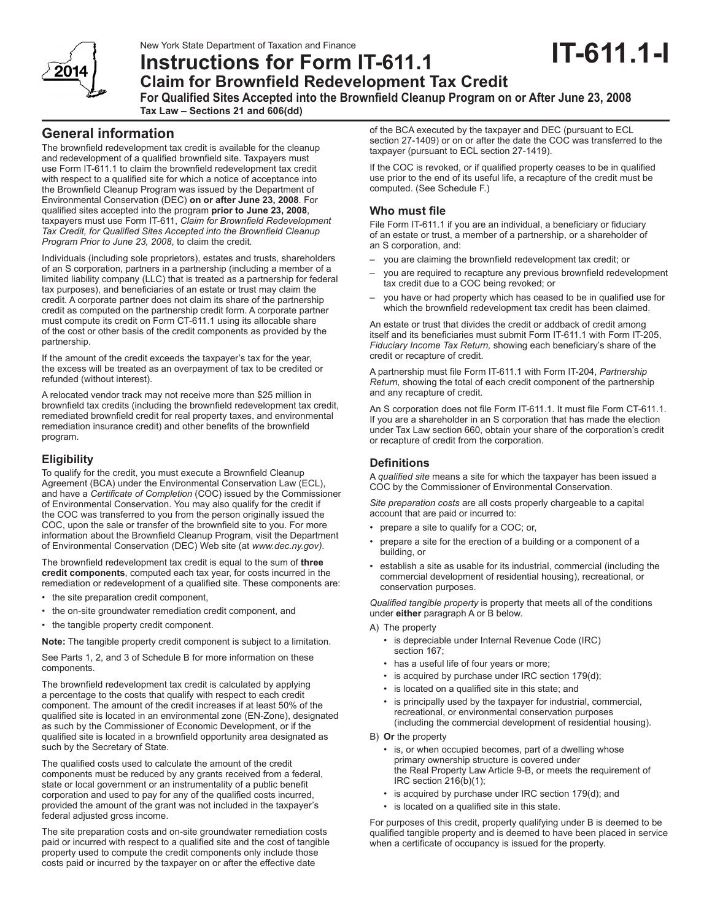# **Instructions for Form IT-611.1**

# **IT-611.1-I**



# **Claim for Brownfield Redevelopment Tax Credit**

**For Qualified Sites Accepted into the Brownfield Cleanup Program on or After June 23, 2008 Tax Law – Sections 21 and 606(dd)** 

# **General information**

The brownfield redevelopment tax credit is available for the cleanup and redevelopment of a qualified brownfield site. Taxpayers must use Form IT-611.1 to claim the brownfield redevelopment tax credit with respect to a qualified site for which a notice of acceptance into the Brownfield Cleanup Program was issued by the Department of Environmental Conservation (DEC) **on or after June 23, 2008**. For qualified sites accepted into the program **prior to June 23, 2008**, taxpayers must use Form IT-611, *Claim for Brownfield Redevelopment Tax Credit, for Qualified Sites Accepted into the Brownfield Cleanup Program Prior to June 23, 2008*, to claim the credit*.*

Individuals (including sole proprietors), estates and trusts, shareholders of an S corporation, partners in a partnership (including a member of a limited liability company (LLC) that is treated as a partnership for federal tax purposes), and beneficiaries of an estate or trust may claim the credit. A corporate partner does not claim its share of the partnership credit as computed on the partnership credit form. A corporate partner must compute its credit on Form CT-611.1 using its allocable share of the cost or other basis of the credit components as provided by the partnership.

If the amount of the credit exceeds the taxpayer's tax for the year, the excess will be treated as an overpayment of tax to be credited or refunded (without interest).

A relocated vendor track may not receive more than \$25 million in brownfield tax credits (including the brownfield redevelopment tax credit, remediated brownfield credit for real property taxes, and environmental remediation insurance credit) and other benefits of the brownfield program.

## **Eligibility**

To qualify for the credit, you must execute a Brownfield Cleanup Agreement (BCA) under the Environmental Conservation Law (ECL), and have a *Certificate of Completion* (COC) issued by the Commissioner of Environmental Conservation. You may also qualify for the credit if the COC was transferred to you from the person originally issued the COC, upon the sale or transfer of the brownfield site to you. For more information about the Brownfield Cleanup Program, visit the Department of Environmental Conservation (DEC) Web site (at *www.dec.ny.gov).*

The brownfield redevelopment tax credit is equal to the sum of **three credit components**, computed each tax year, for costs incurred in the remediation or redevelopment of a qualified site. These components are:

- the site preparation credit component,
- the on-site groundwater remediation credit component, and
- the tangible property credit component.

**Note:** The tangible property credit component is subject to a limitation.

See Parts 1, 2, and 3 of Schedule B for more information on these components.

The brownfield redevelopment tax credit is calculated by applying a percentage to the costs that qualify with respect to each credit component. The amount of the credit increases if at least 50% of the qualified site is located in an environmental zone (EN-Zone), designated as such by the Commissioner of Economic Development, or if the qualified site is located in a brownfield opportunity area designated as such by the Secretary of State.

The qualified costs used to calculate the amount of the credit components must be reduced by any grants received from a federal, state or local government or an instrumentality of a public benefit corporation and used to pay for any of the qualified costs incurred, provided the amount of the grant was not included in the taxpayer's federal adjusted gross income.

The site preparation costs and on-site groundwater remediation costs paid or incurred with respect to a qualified site and the cost of tangible property used to compute the credit components only include those costs paid or incurred by the taxpayer on or after the effective date

of the BCA executed by the taxpayer and DEC (pursuant to ECL section 27-1409) or on or after the date the COC was transferred to the taxpayer (pursuant to ECL section 27-1419).

If the COC is revoked, or if qualified property ceases to be in qualified use prior to the end of its useful life, a recapture of the credit must be computed. (See Schedule F.)

### **Who must file**

File Form IT-611.1 if you are an individual, a beneficiary or fiduciary of an estate or trust, a member of a partnership, or a shareholder of an S corporation, and:

- you are claiming the brownfield redevelopment tax credit; or
- you are required to recapture any previous brownfield redevelopment tax credit due to a COC being revoked; or
- you have or had property which has ceased to be in qualified use for which the brownfield redevelopment tax credit has been claimed.

An estate or trust that divides the credit or addback of credit among itself and its beneficiaries must submit Form IT-611.1 with Form IT-205, *Fiduciary Income Tax Return,* showing each beneficiary's share of the credit or recapture of credit.

A partnership must file Form IT-611.1 with Form IT-204, *Partnership Return,* showing the total of each credit component of the partnership and any recapture of credit.

An S corporation does not file Form IT-611.1. It must file Form CT-611.1. If you are a shareholder in an S corporation that has made the election under Tax Law section 660, obtain your share of the corporation's credit or recapture of credit from the corporation.

# **Definitions**

A *qualified site* means a site for which the taxpayer has been issued a COC by the Commissioner of Environmental Conservation.

*Site preparation costs* are all costs properly chargeable to a capital account that are paid or incurred to:

- prepare a site to qualify for a COC; or,
- prepare a site for the erection of a building or a component of a building, or
- establish a site as usable for its industrial, commercial (including the commercial development of residential housing), recreational, or conservation purposes.

*Qualified tangible property* is property that meets all of the conditions under **either** paragraph A or B below.

A) The property

- is depreciable under Internal Revenue Code (IRC) section 167;
- has a useful life of four years or more;
- is acquired by purchase under IRC section 179(d);
- is located on a qualified site in this state; and
- is principally used by the taxpayer for industrial, commercial, recreational, or environmental conservation purposes (including the commercial development of residential housing).

#### B) **Or** the property

- is, or when occupied becomes, part of a dwelling whose primary ownership structure is covered under the Real Property Law Article 9-B, or meets the requirement of IRC section 216(b)(1);
- is acquired by purchase under IRC section 179(d); and
- is located on a qualified site in this state.

For purposes of this credit, property qualifying under B is deemed to be qualified tangible property and is deemed to have been placed in service when a certificate of occupancy is issued for the property.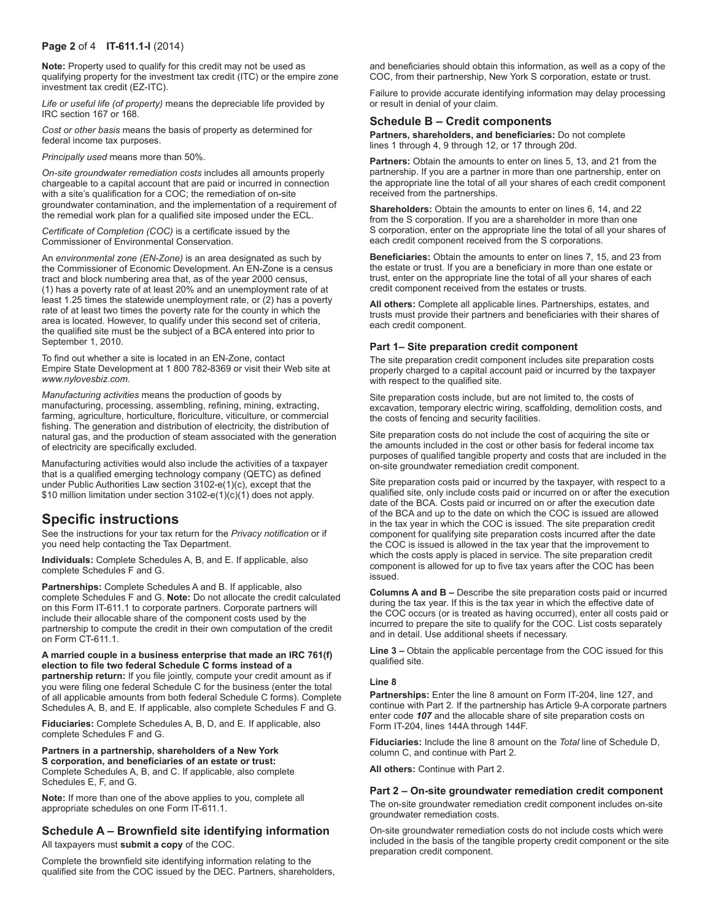#### **Page 2** of 4 **IT-611.1-I** (2014)

**Note:** Property used to qualify for this credit may not be used as qualifying property for the investment tax credit (ITC) or the empire zone investment tax credit (EZ-ITC).

*Life or useful life (of property)* means the depreciable life provided by IRC section 167 or 168.

*Cost or other basis* means the basis of property as determined for federal income tax purposes.

*Principally used* means more than 50%.

*On-site groundwater remediation costs* includes all amounts properly chargeable to a capital account that are paid or incurred in connection with a site's qualification for a COC; the remediation of on-site groundwater contamination, and the implementation of a requirement of the remedial work plan for a qualified site imposed under the ECL.

*Certificate of Completion (COC)* is a certificate issued by the Commissioner of Environmental Conservation.

An *environmental zone (EN-Zone)* is an area designated as such by the Commissioner of Economic Development. An EN-Zone is a census tract and block numbering area that, as of the year 2000 census, (1) has a poverty rate of at least 20% and an unemployment rate of at least 1.25 times the statewide unemployment rate, or (2) has a poverty rate of at least two times the poverty rate for the county in which the area is located. However, to qualify under this second set of criteria, the qualified site must be the subject of a BCA entered into prior to September 1, 2010.

To find out whether a site is located in an EN-Zone, contact Empire State Development at 1 800 782-8369 or visit their Web site at *www.nylovesbiz.com*.

*Manufacturing activities* means the production of goods by manufacturing, processing, assembling, refining, mining, extracting, farming, agriculture, horticulture, floriculture, viticulture, or commercial fishing. The generation and distribution of electricity, the distribution of natural gas, and the production of steam associated with the generation of electricity are specifically excluded.

Manufacturing activities would also include the activities of a taxpayer that is a qualified emerging technology company (QETC) as defined under Public Authorities Law section 3102-e(1)(c), except that the \$10 million limitation under section 3102-e(1)(c)(1) does not apply.

# **Specific instructions**

See the instructions for your tax return for the *Privacy notification* or if you need help contacting the Tax Department.

**Individuals:** Complete Schedules A, B, and E. If applicable, also complete Schedules F and G.

**Partnerships:** Complete Schedules A and B. If applicable, also complete Schedules F and G. **Note:** Do not allocate the credit calculated on this Form IT-611.1 to corporate partners. Corporate partners will include their allocable share of the component costs used by the partnership to compute the credit in their own computation of the credit on Form CT-611.1.

**A married couple in a business enterprise that made an IRC 761(f) election to file two federal Schedule C forms instead of a partnership return:** If you file jointly, compute your credit amount as if you were filing one federal Schedule C for the business (enter the total of all applicable amounts from both federal Schedule C forms). Complete Schedules A, B, and E. If applicable, also complete Schedules F and G.

**Fiduciaries:** Complete Schedules A, B, D, and E. If applicable, also complete Schedules F and G.

**Partners in a partnership, shareholders of a New York S corporation, and beneficiaries of an estate or trust:**  Complete Schedules A, B, and C. If applicable, also complete Schedules E, F, and G.

**Note:** If more than one of the above applies to you, complete all appropriate schedules on one Form IT-611.1.

#### **Schedule A – Brownfield site identifying information** All taxpayers must **submit a copy** of the COC.

Complete the brownfield site identifying information relating to the qualified site from the COC issued by the DEC. Partners, shareholders,

and beneficiaries should obtain this information, as well as a copy of the COC, from their partnership, New York S corporation, estate or trust.

Failure to provide accurate identifying information may delay processing or result in denial of your claim.

#### **Schedule B – Credit components**

**Partners, shareholders, and beneficiaries:** Do not complete lines 1 through 4, 9 through 12, or 17 through 20d.

**Partners:** Obtain the amounts to enter on lines 5, 13, and 21 from the partnership. If you are a partner in more than one partnership, enter on the appropriate line the total of all your shares of each credit component received from the partnerships.

**Shareholders:** Obtain the amounts to enter on lines 6, 14, and 22 from the S corporation. If you are a shareholder in more than one S corporation, enter on the appropriate line the total of all your shares of each credit component received from the S corporations.

**Beneficiaries:** Obtain the amounts to enter on lines 7, 15, and 23 from the estate or trust. If you are a beneficiary in more than one estate or trust, enter on the appropriate line the total of all your shares of each credit component received from the estates or trusts.

**All others:** Complete all applicable lines. Partnerships, estates, and trusts must provide their partners and beneficiaries with their shares of each credit component.

#### **Part 1– Site preparation credit component**

The site preparation credit component includes site preparation costs properly charged to a capital account paid or incurred by the taxpayer with respect to the qualified site.

Site preparation costs include, but are not limited to, the costs of excavation, temporary electric wiring, scaffolding, demolition costs, and the costs of fencing and security facilities.

Site preparation costs do not include the cost of acquiring the site or the amounts included in the cost or other basis for federal income tax purposes of qualified tangible property and costs that are included in the on-site groundwater remediation credit component.

Site preparation costs paid or incurred by the taxpayer, with respect to a qualified site, only include costs paid or incurred on or after the execution date of the BCA. Costs paid or incurred on or after the execution date of the BCA and up to the date on which the COC is issued are allowed in the tax year in which the COC is issued. The site preparation credit component for qualifying site preparation costs incurred after the date the COC is issued is allowed in the tax year that the improvement to which the costs apply is placed in service. The site preparation credit component is allowed for up to five tax years after the COC has been issued.

**Columns A and B –** Describe the site preparation costs paid or incurred during the tax year. If this is the tax year in which the effective date of the COC occurs (or is treated as having occurred), enter all costs paid or incurred to prepare the site to qualify for the COC. List costs separately and in detail. Use additional sheets if necessary.

**Line 3 –** Obtain the applicable percentage from the COC issued for this qualified site.

#### **Line 8**

**Partnerships:** Enter the line 8 amount on Form IT-204, line 127, and continue with Part 2. If the partnership has Article 9-A corporate partners enter code *107* and the allocable share of site preparation costs on Form IT-204, lines 144A through 144F.

**Fiduciaries:** Include the line 8 amount on the *Total* line of Schedule D, column C, and continue with Part 2.

**All others:** Continue with Part 2.

#### **Part 2 – On-site groundwater remediation credit component**

The on-site groundwater remediation credit component includes on-site groundwater remediation costs.

On-site groundwater remediation costs do not include costs which were included in the basis of the tangible property credit component or the site preparation credit component.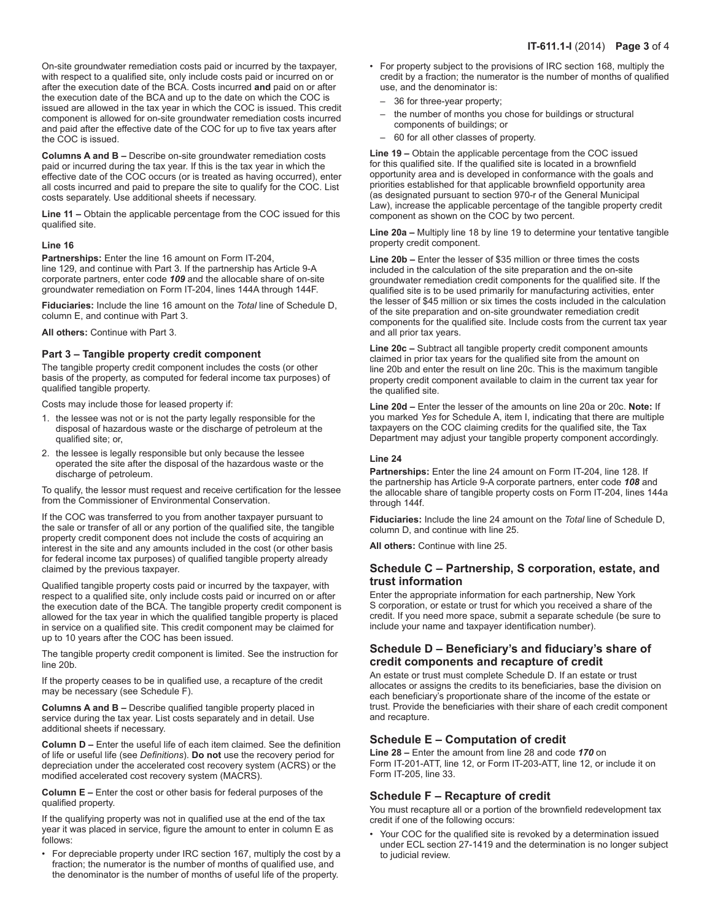On-site groundwater remediation costs paid or incurred by the taxpayer, with respect to a qualified site, only include costs paid or incurred on or after the execution date of the BCA. Costs incurred **and** paid on or after the execution date of the BCA and up to the date on which the COC is issued are allowed in the tax year in which the COC is issued. This credit component is allowed for on-site groundwater remediation costs incurred and paid after the effective date of the COC for up to five tax years after the COC is issued.

**Columns A and B –** Describe on-site groundwater remediation costs paid or incurred during the tax year. If this is the tax year in which the effective date of the COC occurs (or is treated as having occurred), enter all costs incurred and paid to prepare the site to qualify for the COC. List costs separately. Use additional sheets if necessary.

**Line 11 –** Obtain the applicable percentage from the COC issued for this qualified site.

#### **Line 16**

**Partnerships:** Enter the line 16 amount on Form IT-204, line 129, and continue with Part 3. If the partnership has Article 9-A corporate partners, enter code *109* and the allocable share of on-site groundwater remediation on Form IT-204, lines 144A through 144F.

**Fiduciaries:** Include the line 16 amount on the *Total* line of Schedule D, column E, and continue with Part 3.

**All others:** Continue with Part 3.

#### **Part 3 – Tangible property credit component**

The tangible property credit component includes the costs (or other basis of the property, as computed for federal income tax purposes) of qualified tangible property.

Costs may include those for leased property if:

- 1. the lessee was not or is not the party legally responsible for the disposal of hazardous waste or the discharge of petroleum at the qualified site; or,
- 2. the lessee is legally responsible but only because the lessee operated the site after the disposal of the hazardous waste or the discharge of petroleum.

To qualify, the lessor must request and receive certification for the lessee from the Commissioner of Environmental Conservation.

If the COC was transferred to you from another taxpayer pursuant to the sale or transfer of all or any portion of the qualified site, the tangible property credit component does not include the costs of acquiring an interest in the site and any amounts included in the cost (or other basis for federal income tax purposes) of qualified tangible property already claimed by the previous taxpayer.

Qualified tangible property costs paid or incurred by the taxpayer, with respect to a qualified site, only include costs paid or incurred on or after the execution date of the BCA. The tangible property credit component is allowed for the tax year in which the qualified tangible property is placed in service on a qualified site. This credit component may be claimed for up to 10 years after the COC has been issued.

The tangible property credit component is limited. See the instruction for line 20b.

If the property ceases to be in qualified use, a recapture of the credit may be necessary (see Schedule F).

**Columns A and B –** Describe qualified tangible property placed in service during the tax year. List costs separately and in detail. Use additional sheets if necessary.

**Column D –** Enter the useful life of each item claimed. See the definition of life or useful life (see *Definitions*). **Do not** use the recovery period for depreciation under the accelerated cost recovery system (ACRS) or the modified accelerated cost recovery system (MACRS).

**Column E –** Enter the cost or other basis for federal purposes of the qualified property.

If the qualifying property was not in qualified use at the end of the tax year it was placed in service, figure the amount to enter in column E as follows:

• For depreciable property under IRC section 167, multiply the cost by a fraction; the numerator is the number of months of qualified use, and the denominator is the number of months of useful life of the property.

- For property subject to the provisions of IRC section 168, multiply the credit by a fraction; the numerator is the number of months of qualified use, and the denominator is:
	- 36 for three-year property;
	- the number of months you chose for buildings or structural components of buildings; or
	- 60 for all other classes of property.

**Line 19 –** Obtain the applicable percentage from the COC issued for this qualified site. If the qualified site is located in a brownfield opportunity area and is developed in conformance with the goals and priorities established for that applicable brownfield opportunity area (as designated pursuant to section 970-r of the General Municipal Law), increase the applicable percentage of the tangible property credit component as shown on the COC by two percent.

**Line 20a –** Multiply line 18 by line 19 to determine your tentative tangible property credit component.

**Line 20b –** Enter the lesser of \$35 million or three times the costs included in the calculation of the site preparation and the on-site groundwater remediation credit components for the qualified site. If the qualified site is to be used primarily for manufacturing activities, enter the lesser of \$45 million or six times the costs included in the calculation of the site preparation and on-site groundwater remediation credit components for the qualified site. Include costs from the current tax year and all prior tax years.

**Line 20c –** Subtract all tangible property credit component amounts claimed in prior tax years for the qualified site from the amount on line 20b and enter the result on line 20c. This is the maximum tangible property credit component available to claim in the current tax year for the qualified site.

**Line 20d –** Enter the lesser of the amounts on line 20a or 20c. **Note:** If you marked *Yes* for Schedule A, item I, indicating that there are multiple taxpayers on the COC claiming credits for the qualified site, the Tax Department may adjust your tangible property component accordingly.

#### **Line 24**

Partnerships: Enter the line 24 amount on Form IT-204, line 128. If the partnership has Article 9-A corporate partners, enter code *108* and the allocable share of tangible property costs on Form IT-204, lines 144a through 144f.

**Fiduciaries:** Include the line 24 amount on the *Total* line of Schedule D, column D, and continue with line 25.

**All others:** Continue with line 25.

#### **Schedule C – Partnership, S corporation, estate, and trust information**

Enter the appropriate information for each partnership, New York S corporation, or estate or trust for which you received a share of the credit. If you need more space, submit a separate schedule (be sure to include your name and taxpayer identification number).

#### **Schedule D – Beneficiary's and fiduciary's share of credit components and recapture of credit**

An estate or trust must complete Schedule D. If an estate or trust allocates or assigns the credits to its beneficiaries, base the division on each beneficiary's proportionate share of the income of the estate or trust. Provide the beneficiaries with their share of each credit component and recapture.

#### **Schedule E – Computation of credit**

**Line 28 –** Enter the amount from line 28 and code *170* on Form IT-201-ATT, line 12, or Form IT-203-ATT, line 12, or include it on Form IT-205, line 33.

#### **Schedule F – Recapture of credit**

You must recapture all or a portion of the brownfield redevelopment tax credit if one of the following occurs:

• Your COC for the qualified site is revoked by a determination issued under ECL section 27-1419 and the determination is no longer subject to judicial review.